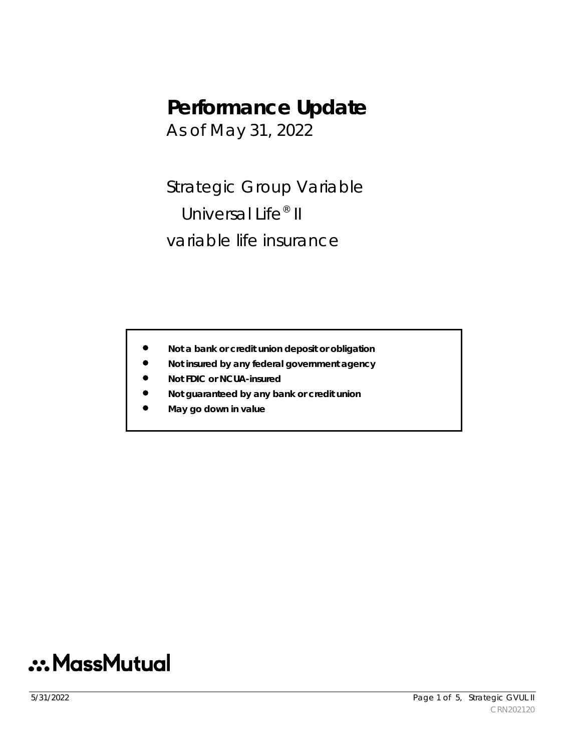### **Performance Update**

As of May 31, 2022

Strategic Group Variable Universal Life<sup>®</sup> II variable life insurance

- **Not a bank or credit union deposit or obligation**
- **Not insured by any federal government agency**
- **Not FDIC or NCUA-insured**
- **Not guaranteed by any bank or credit union**
- **May go down in value**

# :: MassMutual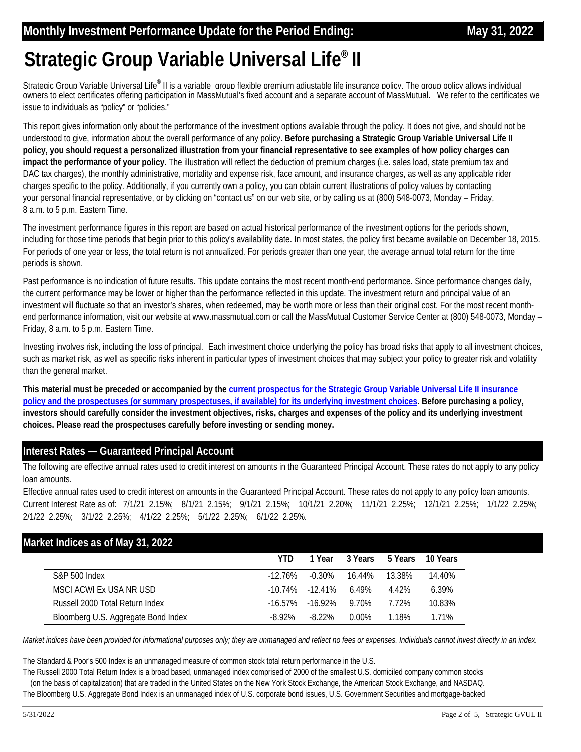# **Strategic Group Variable Universal Life® II**

Strategic Group Variable Universal Life® II is a variable group flexible premium adjustable life insurance policy. The group policy allows individual owners to elect certificates offering participation in MassMutual's fixed account and a separate account of MassMutual. We refer to the certificates we issue to individuals as "policy" or "policies."

This report gives information only about the performance of the investment options available through the policy. It does not give, and should not be understood to give, information about the overall performance of any policy. **Before purchasing a Strategic Group Variable Universal Life II policy, you should request a personalized illustration from your financial representative to see examples of how policy charges can impact the performance of your policy.** The illustration will reflect the deduction of premium charges (i.e. sales load, state premium tax and DAC tax charges), the monthly administrative, mortality and expense risk, face amount, and insurance charges, as well as any applicable rider charges specific to the policy. Additionally, if you currently own a policy, you can obtain current illustrations of policy values by contacting your personal financial representative, or by clicking on "contact us" on our web site, or by calling us at (800) 548-0073, Monday – Friday, 8 a.m. to 5 p.m. Eastern Time.

The investment performance figures in this report are based on actual historical performance of the investment options for the periods shown, including for those time periods that begin prior to this policy's availability date. In most states, the policy first became available on December 18, 2015. For periods of one year or less, the total return is not annualized. For periods greater than one year, the average annual total return for the time periods is shown.

Past performance is no indication of future results. This update contains the most recent month-end performance. Since performance changes daily, the current performance may be lower or higher than the performance reflected in this update. The investment return and principal value of an investment will fluctuate so that an investor's shares, when redeemed, may be worth more or less than their original cost. For the most recent monthend performance information, visit our website at www.massmutual.com or call the MassMutual Customer Service Center at (800) 548-0073, Monday – Friday, 8 a.m. to 5 p.m. Eastern Time.

Investing involves risk, including the loss of principal. Each investment choice underlying the policy has broad risks that apply to all investment choices, such as market risk, as well as specific risks inherent in particular types of investment choices that may subject your policy to greater risk and volatility than the general market.

**This material must be preceded or accompanied by the current prospectus for the Strategic Group Variable Universal Life II insurance [policy and the prospectuses \(or summary prospectuses, if available\) for its underlying investment choices. Before purchasing a policy,](https://www.massmutual.com/product-performance/product-performance-listing-page/strategic-group-variable-universal-life-ii)  investors should carefully consider the investment objectives, risks, charges and expenses of the policy and its underlying investment choices. Please read the prospectuses carefully before investing or sending money.** 

### **Interest Rates — Guaranteed Principal Account**

The following are effective annual rates used to credit interest on amounts in the Guaranteed Principal Account. These rates do not apply to any policy loan amounts.

Current Interest Rate as of: 7/1/21 2.15%; 8/1/21 2.15%; 9/1/21 2.15%; 10/1/21 2.20%; 11/1/21 2.25%; 12/1/21 2.25%; 1/1/22 2.25%; 2/1/22 2.25%; 3/1/22 2.25%; 4/1/22 2.25%; 5/1/22 2.25%; 6/1/22 2.25%. Effective annual rates used to credit interest on amounts in the Guaranteed Principal Account. These rates do not apply to any policy loan amounts.

### **Market Indices as of May 31, 2022**

|                                     | YTD.       | 1 Year                |          | 3 Years 5 Years 10 Years |        |  |
|-------------------------------------|------------|-----------------------|----------|--------------------------|--------|--|
| S&P 500 Index                       | $-12.76\%$ | -0.30%                | 16.44%   | 13.38%                   | 14.40% |  |
| MSCI ACWI Ex USA NR USD             |            | $-10.74\%$ $-12.41\%$ | 6.49%    | 4.42%                    | 6.39%  |  |
| Russell 2000 Total Return Index     | -16.57%    | -16.92%               | 9.70%    | 7.72%                    | 10.83% |  |
| Bloomberg U.S. Aggregate Bond Index | $-8.92\%$  | $-8.22\%$             | $0.00\%$ | 1.18%                    | 1.71%  |  |

*Market indices have been provided for informational purposes only; they are unmanaged and reflect no fees or expenses. Individuals cannot invest directly in an index.* 

The Standard & Poor's 500 Index is an unmanaged measure of common stock total return performance in the U.S.

The Russell 2000 Total Return Index is a broad based, unmanaged index comprised of 2000 of the smallest U.S. domiciled company common stocks (on the basis of capitalization) that are traded in the United States on the New York Stock Exchange, the American Stock Exchange, and NASDAQ.

The Bloomberg U.S. Aggregate Bond Index is an unmanaged index of U.S. corporate bond issues, U.S. Government Securities and mortgage-backed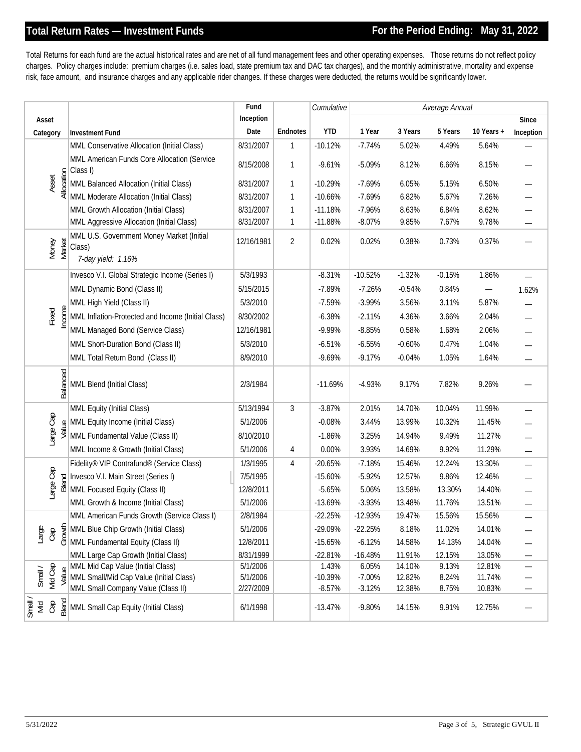Total Returns for each fund are the actual historical rates and are net of all fund management fees and other operating expenses. Those returns do not reflect policy charges. Policy charges include: premium charges (i.e. sales load, state premium tax and DAC tax charges), and the monthly administrative, mortality and expense risk, face amount, and insurance charges and any applicable rider changes. If these charges were deducted, the returns would be significantly lower.

|                              |                                                                                                           | Fund       |                 | Cumulative | Average Annual |          |          |                                |           |
|------------------------------|-----------------------------------------------------------------------------------------------------------|------------|-----------------|------------|----------------|----------|----------|--------------------------------|-----------|
| Asset                        |                                                                                                           | Inception  |                 |            |                |          |          |                                | Since     |
| Category                     | <b>Investment Fund</b>                                                                                    | Date       | <b>Endnotes</b> | <b>YTD</b> | 1 Year         | 3 Years  | 5 Years  | 10 Years $+$                   | Inception |
|                              | MML Conservative Allocation (Initial Class)                                                               | 8/31/2007  | $\mathbf{1}$    | $-10.12%$  | $-7.74%$       | 5.02%    | 4.49%    | 5.64%                          |           |
|                              | MML American Funds Core Allocation (Service<br>Class I)                                                   | 8/15/2008  | 1               | $-9.61%$   | $-5.09%$       | 8.12%    | 6.66%    | 8.15%                          |           |
| Allocation<br>Asset          | MML Balanced Allocation (Initial Class)                                                                   | 8/31/2007  | 1               | $-10.29%$  | $-7.69%$       | 6.05%    | 5.15%    | 6.50%                          |           |
|                              | MML Moderate Allocation (Initial Class)                                                                   | 8/31/2007  | 1               | $-10.66%$  | $-7.69%$       | 6.82%    | 5.67%    | 7.26%                          |           |
|                              | MML Growth Allocation (Initial Class)                                                                     | 8/31/2007  | 1               | $-11.18%$  | $-7.96%$       | 8.63%    | 6.84%    | 8.62%                          |           |
|                              | MML Aggressive Allocation (Initial Class)                                                                 | 8/31/2007  | 1               | $-11.88%$  | $-8.07%$       | 9.85%    | 7.67%    | 9.78%                          |           |
| Market<br>Money              | MML U.S. Government Money Market (Initial<br>Class)<br>7-day yield: 1.16%                                 | 12/16/1981 | $\overline{2}$  | 0.02%      | 0.02%          | 0.38%    | 0.73%    | 0.37%                          |           |
|                              | Invesco V.I. Global Strategic Income (Series I)                                                           | 5/3/1993   |                 | $-8.31%$   | $-10.52%$      | $-1.32%$ | $-0.15%$ | 1.86%                          |           |
|                              | MML Dynamic Bond (Class II)                                                                               | 5/15/2015  |                 | $-7.89%$   | $-7.26%$       | $-0.54%$ | 0.84%    |                                | 1.62%     |
|                              | MML High Yield (Class II)                                                                                 | 5/3/2010   |                 | $-7.59%$   | $-3.99%$       | 3.56%    | 3.11%    | 5.87%                          |           |
| Income<br>Fixed              | MML Inflation-Protected and Income (Initial Class)                                                        | 8/30/2002  |                 | $-6.38%$   | $-2.11%$       | 4.36%    | 3.66%    | 2.04%                          |           |
|                              | MML Managed Bond (Service Class)                                                                          | 12/16/1981 |                 | $-9.99%$   | $-8.85%$       | 0.58%    | 1.68%    | 2.06%                          |           |
|                              | MML Short-Duration Bond (Class II)                                                                        | 5/3/2010   |                 | $-6.51%$   | $-6.55%$       | $-0.60%$ | 0.47%    | 1.04%                          |           |
|                              | MML Total Return Bond (Class II)                                                                          | 8/9/2010   |                 | $-9.69%$   | $-9.17%$       | $-0.04%$ | 1.05%    | 1.64%                          |           |
|                              |                                                                                                           |            |                 |            |                |          |          |                                |           |
| Balanced                     | MML Blend (Initial Class)                                                                                 | 2/3/1984   |                 | $-11.69%$  | $-4.93%$       | 9.17%    | 7.82%    | 9.26%                          |           |
|                              | MML Equity (Initial Class)                                                                                | 5/13/1994  | $\mathfrak{Z}$  | $-3.87%$   | 2.01%          | 14.70%   | 10.04%   | 11.99%                         |           |
| Large Cap                    | MML Equity Income (Initial Class)                                                                         | 5/1/2006   |                 | $-0.08%$   | 3.44%          | 13.99%   | 10.32%   | 11.45%                         |           |
| Value                        | MML Fundamental Value (Class II)                                                                          | 8/10/2010  |                 | $-1.86%$   | 3.25%          | 14.94%   | 9.49%    | 11.27%                         |           |
|                              | MML Income & Growth (Initial Class)                                                                       | 5/1/2006   | 4               | 0.00%      | 3.93%          | 14.69%   | 9.92%    | 11.29%                         |           |
|                              | Fidelity® VIP Contrafund® (Service Class)                                                                 | 1/3/1995   | 4               | $-20.65%$  | $-7.18%$       | 15.46%   | 12.24%   | 13.30%                         |           |
| Large Cap                    |                                                                                                           | 7/5/1995   |                 | $-15.60%$  | $-5.92%$       | 12.57%   | 9.86%    | 12.46%                         |           |
|                              | E Invesco V.I. Main Street (Series I)<br>E MML Focused Equity (Class II)<br>MML Focused Equity (Class II) | 12/8/2011  |                 | $-5.65%$   | 5.06%          | 13.58%   | 13.30%   | 14.40%                         |           |
|                              | MML Growth & Income (Initial Class)                                                                       | 5/1/2006   |                 | $-13.69%$  | $-3.93%$       | 13.48%   | 11.76%   | 13.51%                         |           |
|                              | MML American Funds Growth (Service Class I)                                                               | 2/8/1984   |                 | $-22.25%$  | $-12.93%$      | 19.47%   | 15.56%   | 15.56%                         |           |
|                              |                                                                                                           | 5/1/2006   |                 | $-29.09%$  | $-22.25%$      | 8.18%    | 11.02%   | 14.01%                         |           |
| Large<br>Cap                 | MML Blue Chip Growth (Initial Class)<br>S MML Fundamental Equity (Class II)                               | 12/8/2011  |                 | $-15.65%$  | $-6.12%$       | 14.58%   | 14.13%   | 14.04%                         |           |
|                              | MML Large Cap Growth (Initial Class)                                                                      | 8/31/1999  |                 | $-22.81%$  | $-16.48%$      | 11.91%   | 12.15%   | 13.05%                         |           |
|                              | MML Mid Cap Value (Initial Class)                                                                         | 5/1/2006   |                 | 1.43%      | 6.05%          | 14.10%   | 9.13%    | 12.81%                         |           |
| Small /<br>Mid Cap           | $\frac{9}{50}$ MML Mid Cap Value (initial Class)<br>MML Small/Mid Cap Value (initial Class)               | 5/1/2006   |                 | $-10.39%$  | $-7.00%$       | 12.82%   | 8.24%    | 11.74%                         |           |
|                              | MML Small Company Value (Class II)                                                                        | 2/27/2009  |                 | $-8.57%$   | $-3.12%$       | 12.38%   | 8.75%    | 10.83%                         |           |
| Blend<br>Small<br>Mid<br>Cap | MML Small Cap Equity (Initial Class)                                                                      | 6/1/1998   |                 | $-13.47%$  | $-9.80%$       | 14.15%   | 9.91%    | 12.75%                         |           |
| 5/31/2022                    |                                                                                                           |            |                 |            |                |          |          | Page 3 of 5, Strategic GVUL II |           |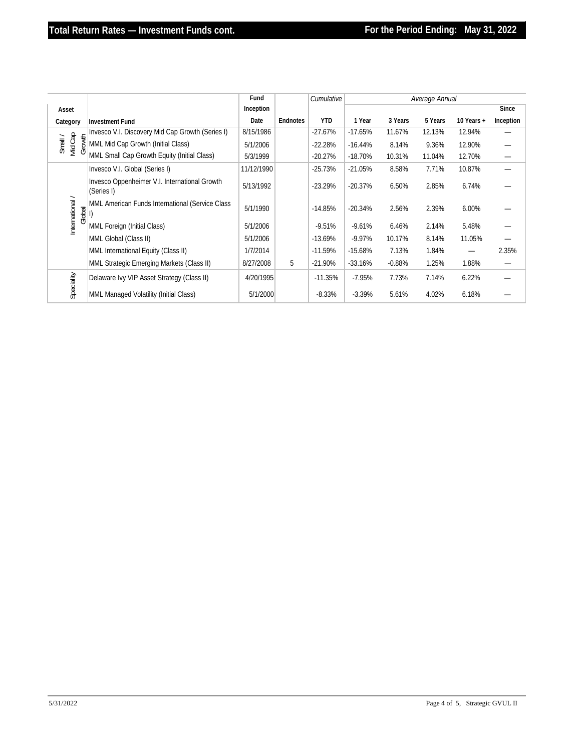|                              |                                                             | Fund       |          | Cumulative | Average Annual |          |         |                                |                          |
|------------------------------|-------------------------------------------------------------|------------|----------|------------|----------------|----------|---------|--------------------------------|--------------------------|
| Asset                        |                                                             | Inception  |          |            |                |          |         |                                | <b>Since</b>             |
| Category                     | Investment Fund                                             | Date       | Endnotes | <b>YTD</b> | 1 Year         | 3 Years  | 5 Years | 10 Years +                     | Inception                |
|                              | Invesco V.I. Discovery Mid Cap Growth (Series I)            | 8/15/1986  |          | $-27.67%$  | $-17.65%$      | 11.67%   | 12.13%  | 12.94%                         |                          |
| Small /<br>Mid Cap<br>Growth | MML Mid Cap Growth (Initial Class)                          | 5/1/2006   |          | $-22.28%$  | $-16.44%$      | 8.14%    | 9.36%   | 12.90%                         |                          |
|                              | MML Small Cap Growth Equity (Initial Class)                 | 5/3/1999   |          | $-20.27%$  | $-18.70%$      | 10.31%   | 11.04%  | 12.70%                         | —                        |
|                              | Invesco V.I. Global (Series I)                              | 11/12/1990 |          | $-25.73%$  | $-21.05%$      | 8.58%    | 7.71%   | 10.87%                         | $\overline{\phantom{0}}$ |
|                              | Invesco Oppenheimer V.I. International Growth<br>(Series I) | 5/13/1992  |          | $-23.29%$  | $-20.37%$      | 6.50%    | 2.85%   | 6.74%                          |                          |
| International /<br>Global    | MML American Funds International (Service Class             | 5/1/1990   |          | $-14.85%$  | $-20.34%$      | 2.56%    | 2.39%   | 6.00%                          |                          |
|                              | MML Foreign (Initial Class)                                 | 5/1/2006   |          | $-9.51%$   | $-9.61%$       | 6.46%    | 2.14%   | 5.48%                          |                          |
|                              | MML Global (Class II)                                       | 5/1/2006   |          | $-13.69%$  | $-9.97%$       | 10.17%   | 8.14%   | 11.05%                         |                          |
|                              | MML International Equity (Class II)                         | 1/7/2014   |          | $-11.59%$  | $-15.68%$      | 7.13%    | 1.84%   | $\overline{\phantom{m}}$       | 2.35%                    |
|                              | MML Strategic Emerging Markets (Class II)                   | 8/27/2008  | 5        | $-21.90%$  | $-33.16%$      | $-0.88%$ | 1.25%   | 1.88%                          |                          |
|                              | Delaware Ivy VIP Asset Strategy (Class II)                  | 4/20/1995  |          | $-11.35%$  | $-7.95%$       | 7.73%    | 7.14%   | 6.22%                          |                          |
| Speciality                   | MML Managed Volatility (Initial Class)                      | 5/1/2000   |          | $-8.33%$   | $-3.39%$       | 5.61%    | 4.02%   | 6.18%                          |                          |
| 5/31/2022                    |                                                             |            |          |            |                |          |         | Page 4 of 5, Strategic GVUL II |                          |